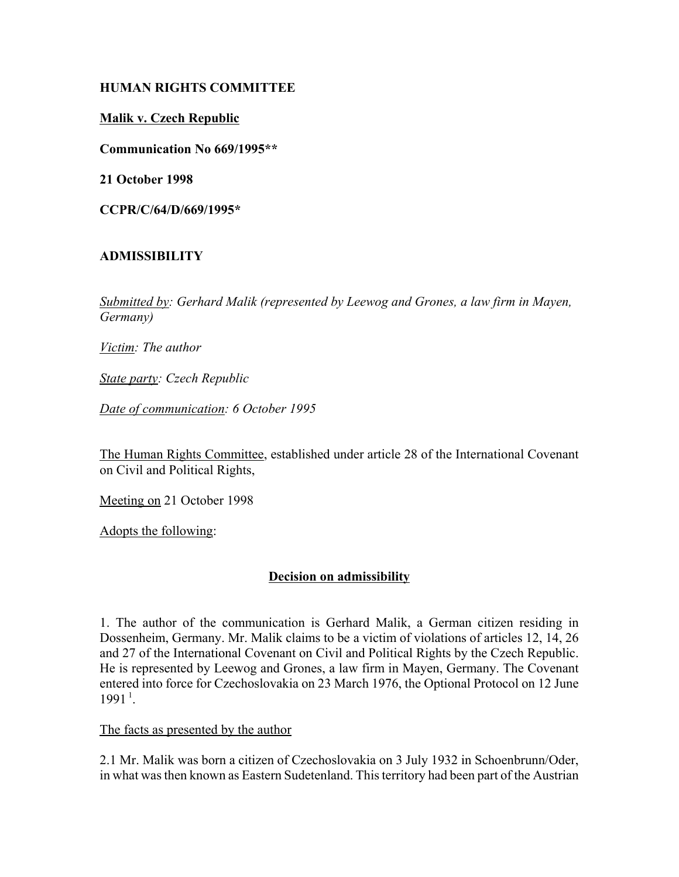# **HUMAN RIGHTS COMMITTEE**

## **Malik v. Czech Republic**

**Communication No 669/1995\*\***

**21 October 1998**

**CCPR/C/64/D/669/1995\***

# **ADMISSIBILITY**

*Submitted by: Gerhard Malik (represented by Leewog and Grones, a law firm in Mayen, Germany)* 

*Victim: The author* 

*State party: Czech Republic* 

*Date of communication: 6 October 1995* 

The Human Rights Committee, established under article 28 of the International Covenant on Civil and Political Rights,

Meeting on 21 October 1998

Adopts the following:

### **Decision on admissibility**

1. The author of the communication is Gerhard Malik, a German citizen residing in Dossenheim, Germany. Mr. Malik claims to be a victim of violations of articles 12, 14, 26 and 27 of the International Covenant on Civil and Political Rights by the Czech Republic. He is represented by Leewog and Grones, a law firm in Mayen, Germany. The Covenant entered into force for Czechoslovakia on 23 March 1976, the Optional Protocol on 12 June  $1991<sup>1</sup>$ 

The facts as presented by the author

2.1 Mr. Malik was born a citizen of Czechoslovakia on 3 July 1932 in Schoenbrunn/Oder, in what was then known as Eastern Sudetenland. This territory had been part of the Austrian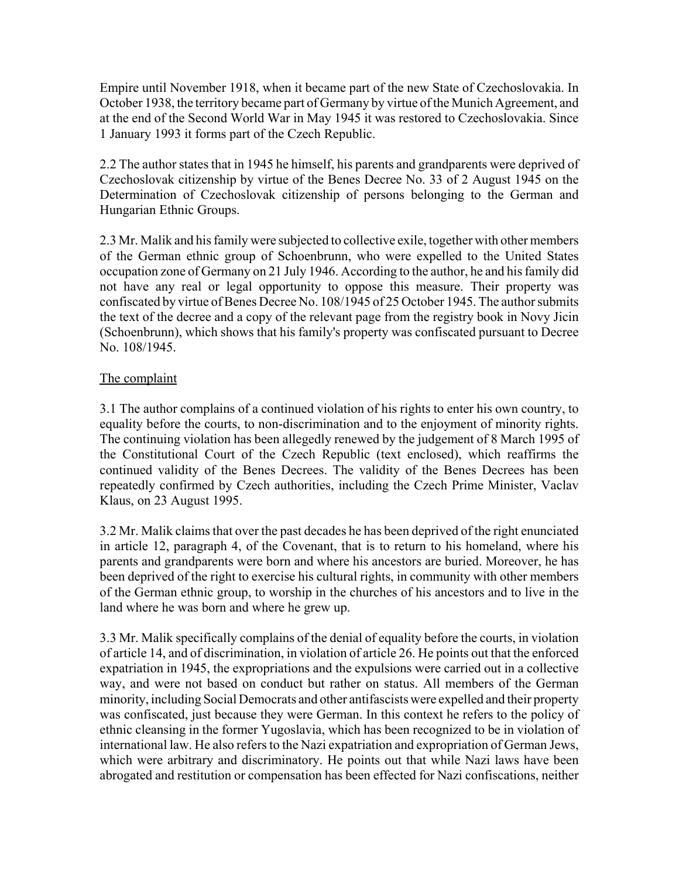Empire until November 1918, when it became part of the new State of Czechoslovakia. In October 1938, the territory became part of Germany by virtue of the Munich Agreement, and at the end of the Second World War in May 1945 it was restored to Czechoslovakia. Since 1 January 1993 it forms part of the Czech Republic.

2.2 The author states that in 1945 he himself, his parents and grandparents were deprived of Czechoslovak citizenship by virtue of the Benes Decree No. 33 of 2 August 1945 on the Determination of Czechoslovak citizenship of persons belonging to the German and Hungarian Ethnic Groups.

2.3 Mr. Malik and his family were subjected to collective exile, together with other members of the German ethnic group of Schoenbrunn, who were expelled to the United States occupation zone of Germany on 21 July 1946. According to the author, he and his family did not have any real or legal opportunity to oppose this measure. Their property was confiscated by virtue of Benes Decree No. 108/1945 of 25 October 1945. The author submits the text of the decree and a copy of the relevant page from the registry book in Novy Jicin (Schoenbrunn), which shows that his family's property was confiscated pursuant to Decree No. 108/1945.

### The complaint

3.1 The author complains of a continued violation of his rights to enter his own country, to equality before the courts, to non-discrimination and to the enjoyment of minority rights. The continuing violation has been allegedly renewed by the judgement of 8 March 1995 of the Constitutional Court of the Czech Republic (text enclosed), which reaffirms the continued validity of the Benes Decrees. The validity of the Benes Decrees has been repeatedly confirmed by Czech authorities, including the Czech Prime Minister, Vaclav Klaus, on 23 August 1995.

3.2 Mr. Malik claims that over the past decades he has been deprived of the right enunciated in article 12, paragraph 4, of the Covenant, that is to return to his homeland, where his parents and grandparents were born and where his ancestors are buried. Moreover, he has been deprived of the right to exercise his cultural rights, in community with other members of the German ethnic group, to worship in the churches of his ancestors and to live in the land where he was born and where he grew up.

3.3 Mr. Malik specifically complains of the denial of equality before the courts, in violation of article 14, and of discrimination, in violation of article 26. He points out that the enforced expatriation in 1945, the expropriations and the expulsions were carried out in a collective way, and were not based on conduct but rather on status. All members of the German minority, including Social Democrats and other antifascists were expelled and their property was confiscated, just because they were German. In this context he refers to the policy of ethnic cleansing in the former Yugoslavia, which has been recognized to be in violation of international law. He also refers to the Nazi expatriation and expropriation of German Jews, which were arbitrary and discriminatory. He points out that while Nazi laws have been abrogated and restitution or compensation has been effected for Nazi confiscations, neither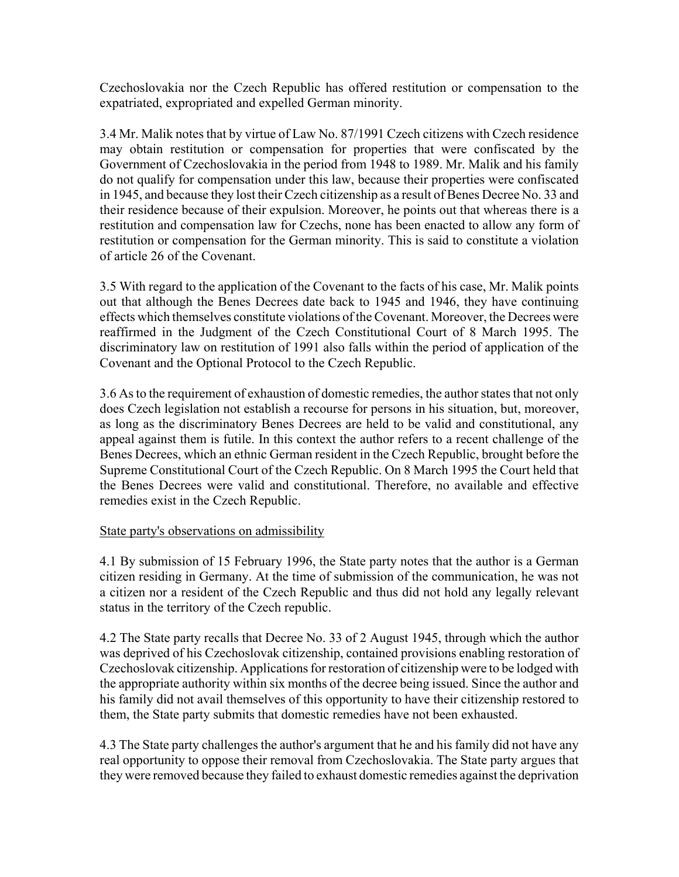Czechoslovakia nor the Czech Republic has offered restitution or compensation to the expatriated, expropriated and expelled German minority.

3.4 Mr. Malik notes that by virtue of Law No. 87/1991 Czech citizens with Czech residence may obtain restitution or compensation for properties that were confiscated by the Government of Czechoslovakia in the period from 1948 to 1989. Mr. Malik and his family do not qualify for compensation under this law, because their properties were confiscated in 1945, and because they lost their Czech citizenship as a result of Benes Decree No. 33 and their residence because of their expulsion. Moreover, he points out that whereas there is a restitution and compensation law for Czechs, none has been enacted to allow any form of restitution or compensation for the German minority. This is said to constitute a violation of article 26 of the Covenant.

3.5 With regard to the application of the Covenant to the facts of his case, Mr. Malik points out that although the Benes Decrees date back to 1945 and 1946, they have continuing effects which themselves constitute violations of the Covenant. Moreover, the Decrees were reaffirmed in the Judgment of the Czech Constitutional Court of 8 March 1995. The discriminatory law on restitution of 1991 also falls within the period of application of the Covenant and the Optional Protocol to the Czech Republic.

3.6 As to the requirement of exhaustion of domestic remedies, the author states that not only does Czech legislation not establish a recourse for persons in his situation, but, moreover, as long as the discriminatory Benes Decrees are held to be valid and constitutional, any appeal against them is futile. In this context the author refers to a recent challenge of the Benes Decrees, which an ethnic German resident in the Czech Republic, brought before the Supreme Constitutional Court of the Czech Republic. On 8 March 1995 the Court held that the Benes Decrees were valid and constitutional. Therefore, no available and effective remedies exist in the Czech Republic.

### State party's observations on admissibility

4.1 By submission of 15 February 1996, the State party notes that the author is a German citizen residing in Germany. At the time of submission of the communication, he was not a citizen nor a resident of the Czech Republic and thus did not hold any legally relevant status in the territory of the Czech republic.

4.2 The State party recalls that Decree No. 33 of 2 August 1945, through which the author was deprived of his Czechoslovak citizenship, contained provisions enabling restoration of Czechoslovak citizenship. Applications for restoration of citizenship were to be lodged with the appropriate authority within six months of the decree being issued. Since the author and his family did not avail themselves of this opportunity to have their citizenship restored to them, the State party submits that domestic remedies have not been exhausted.

4.3 The State party challenges the author's argument that he and his family did not have any real opportunity to oppose their removal from Czechoslovakia. The State party argues that they were removed because they failed to exhaust domestic remedies against the deprivation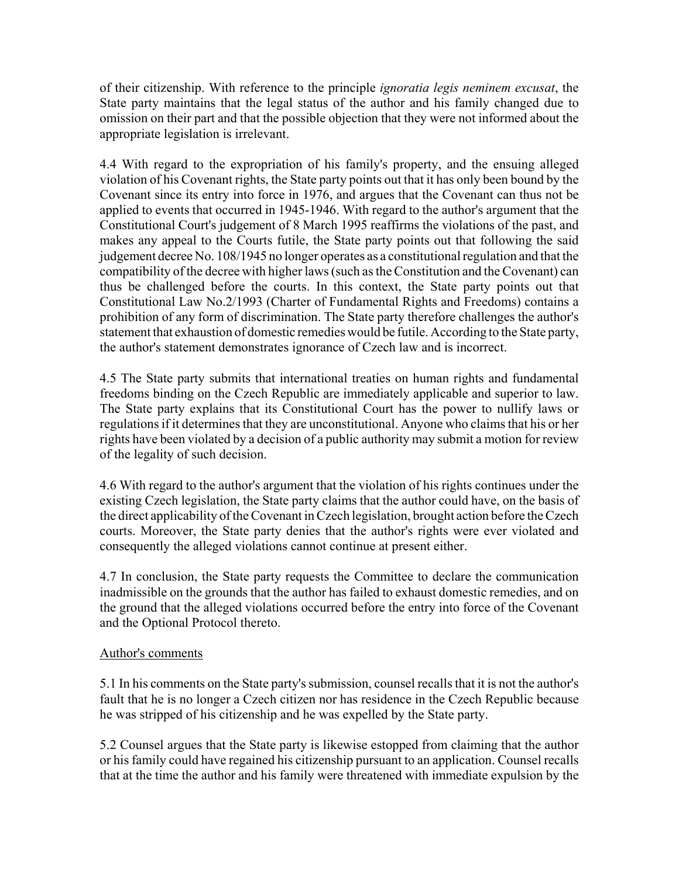of their citizenship. With reference to the principle *ignoratia legis neminem excusat*, the State party maintains that the legal status of the author and his family changed due to omission on their part and that the possible objection that they were not informed about the appropriate legislation is irrelevant.

4.4 With regard to the expropriation of his family's property, and the ensuing alleged violation of his Covenant rights, the State party points out that it has only been bound by the Covenant since its entry into force in 1976, and argues that the Covenant can thus not be applied to events that occurred in 1945-1946. With regard to the author's argument that the Constitutional Court's judgement of 8 March 1995 reaffirms the violations of the past, and makes any appeal to the Courts futile, the State party points out that following the said judgement decree No. 108/1945 no longer operates as a constitutional regulation and that the compatibility of the decree with higher laws (such as the Constitution and the Covenant) can thus be challenged before the courts. In this context, the State party points out that Constitutional Law No.2/1993 (Charter of Fundamental Rights and Freedoms) contains a prohibition of any form of discrimination. The State party therefore challenges the author's statement that exhaustion of domestic remedies would be futile. According to the State party, the author's statement demonstrates ignorance of Czech law and is incorrect.

4.5 The State party submits that international treaties on human rights and fundamental freedoms binding on the Czech Republic are immediately applicable and superior to law. The State party explains that its Constitutional Court has the power to nullify laws or regulations if it determines that they are unconstitutional. Anyone who claims that his or her rights have been violated by a decision of a public authority may submit a motion for review of the legality of such decision.

4.6 With regard to the author's argument that the violation of his rights continues under the existing Czech legislation, the State party claims that the author could have, on the basis of the direct applicability of the Covenant in Czech legislation, brought action before the Czech courts. Moreover, the State party denies that the author's rights were ever violated and consequently the alleged violations cannot continue at present either.

4.7 In conclusion, the State party requests the Committee to declare the communication inadmissible on the grounds that the author has failed to exhaust domestic remedies, and on the ground that the alleged violations occurred before the entry into force of the Covenant and the Optional Protocol thereto.

### Author's comments

5.1 In his comments on the State party's submission, counsel recalls that it is not the author's fault that he is no longer a Czech citizen nor has residence in the Czech Republic because he was stripped of his citizenship and he was expelled by the State party.

5.2 Counsel argues that the State party is likewise estopped from claiming that the author or his family could have regained his citizenship pursuant to an application. Counsel recalls that at the time the author and his family were threatened with immediate expulsion by the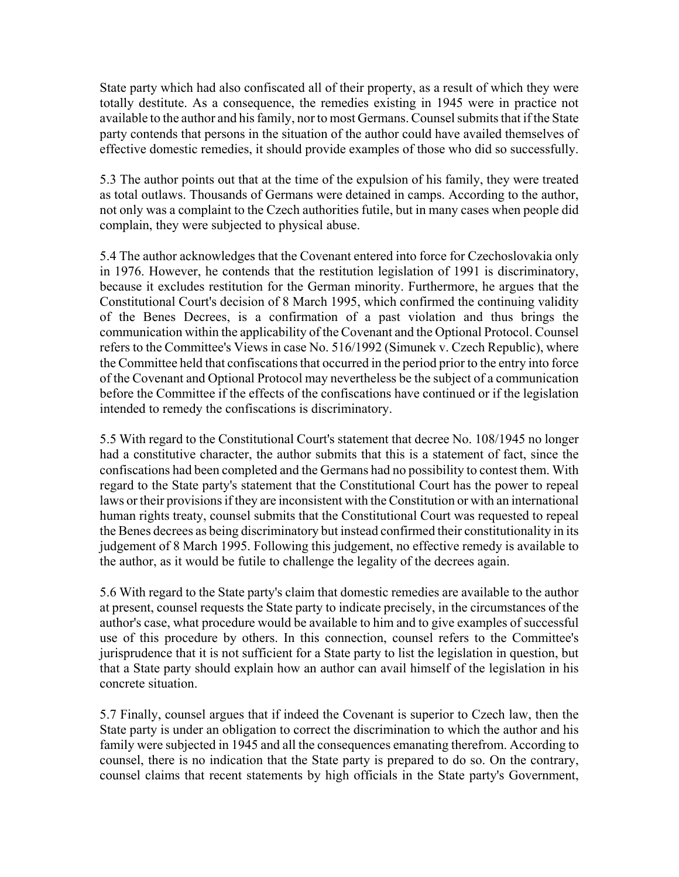State party which had also confiscated all of their property, as a result of which they were totally destitute. As a consequence, the remedies existing in 1945 were in practice not available to the author and his family, nor to most Germans. Counsel submits that if the State party contends that persons in the situation of the author could have availed themselves of effective domestic remedies, it should provide examples of those who did so successfully.

5.3 The author points out that at the time of the expulsion of his family, they were treated as total outlaws. Thousands of Germans were detained in camps. According to the author, not only was a complaint to the Czech authorities futile, but in many cases when people did complain, they were subjected to physical abuse.

5.4 The author acknowledges that the Covenant entered into force for Czechoslovakia only in 1976. However, he contends that the restitution legislation of 1991 is discriminatory, because it excludes restitution for the German minority. Furthermore, he argues that the Constitutional Court's decision of 8 March 1995, which confirmed the continuing validity of the Benes Decrees, is a confirmation of a past violation and thus brings the communication within the applicability of the Covenant and the Optional Protocol. Counsel refers to the Committee's Views in case No. 516/1992 (Simunek v. Czech Republic), where the Committee held that confiscations that occurred in the period prior to the entry into force of the Covenant and Optional Protocol may nevertheless be the subject of a communication before the Committee if the effects of the confiscations have continued or if the legislation intended to remedy the confiscations is discriminatory.

5.5 With regard to the Constitutional Court's statement that decree No. 108/1945 no longer had a constitutive character, the author submits that this is a statement of fact, since the confiscations had been completed and the Germans had no possibility to contest them. With regard to the State party's statement that the Constitutional Court has the power to repeal laws or their provisions if they are inconsistent with the Constitution or with an international human rights treaty, counsel submits that the Constitutional Court was requested to repeal the Benes decrees as being discriminatory but instead confirmed their constitutionality in its judgement of 8 March 1995. Following this judgement, no effective remedy is available to the author, as it would be futile to challenge the legality of the decrees again.

5.6 With regard to the State party's claim that domestic remedies are available to the author at present, counsel requests the State party to indicate precisely, in the circumstances of the author's case, what procedure would be available to him and to give examples of successful use of this procedure by others. In this connection, counsel refers to the Committee's jurisprudence that it is not sufficient for a State party to list the legislation in question, but that a State party should explain how an author can avail himself of the legislation in his concrete situation.

5.7 Finally, counsel argues that if indeed the Covenant is superior to Czech law, then the State party is under an obligation to correct the discrimination to which the author and his family were subjected in 1945 and all the consequences emanating therefrom. According to counsel, there is no indication that the State party is prepared to do so. On the contrary, counsel claims that recent statements by high officials in the State party's Government,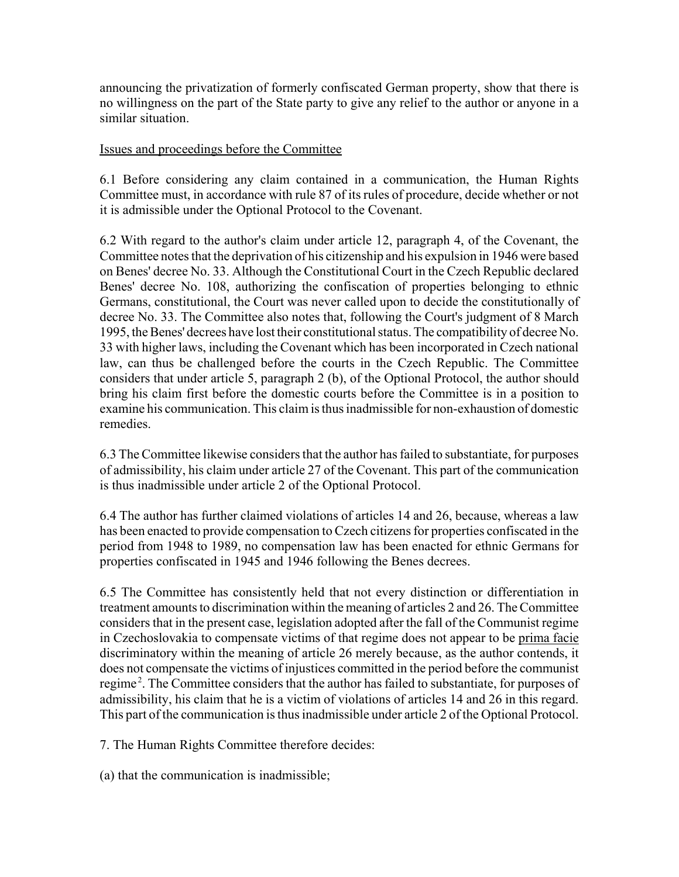announcing the privatization of formerly confiscated German property, show that there is no willingness on the part of the State party to give any relief to the author or anyone in a similar situation.

### Issues and proceedings before the Committee

6.1 Before considering any claim contained in a communication, the Human Rights Committee must, in accordance with rule 87 of its rules of procedure, decide whether or not it is admissible under the Optional Protocol to the Covenant.

6.2 With regard to the author's claim under article 12, paragraph 4, of the Covenant, the Committee notes that the deprivation of his citizenship and his expulsion in 1946 were based on Benes' decree No. 33. Although the Constitutional Court in the Czech Republic declared Benes' decree No. 108, authorizing the confiscation of properties belonging to ethnic Germans, constitutional, the Court was never called upon to decide the constitutionally of decree No. 33. The Committee also notes that, following the Court's judgment of 8 March 1995, the Benes' decrees have lost their constitutional status. The compatibility of decree No. 33 with higher laws, including the Covenant which has been incorporated in Czech national law, can thus be challenged before the courts in the Czech Republic. The Committee considers that under article 5, paragraph 2 (b), of the Optional Protocol, the author should bring his claim first before the domestic courts before the Committee is in a position to examine his communication. This claim is thus inadmissible for non-exhaustion of domestic remedies.

6.3 The Committee likewise considers that the author has failed to substantiate, for purposes of admissibility, his claim under article 27 of the Covenant. This part of the communication is thus inadmissible under article 2 of the Optional Protocol.

6.4 The author has further claimed violations of articles 14 and 26, because, whereas a law has been enacted to provide compensation to Czech citizens for properties confiscated in the period from 1948 to 1989, no compensation law has been enacted for ethnic Germans for properties confiscated in 1945 and 1946 following the Benes decrees.

6.5 The Committee has consistently held that not every distinction or differentiation in treatment amounts to discrimination within the meaning of articles 2 and 26. The Committee considers that in the present case, legislation adopted after the fall of the Communist regime in Czechoslovakia to compensate victims of that regime does not appear to be prima facie discriminatory within the meaning of article 26 merely because, as the author contends, it does not compensate the victims of injustices committed in the period before the communist regime<sup>2</sup>. The Committee considers that the author has failed to substantiate, for purposes of admissibility, his claim that he is a victim of violations of articles 14 and 26 in this regard. This part of the communication is thus inadmissible under article 2 of the Optional Protocol.

7. The Human Rights Committee therefore decides:

(a) that the communication is inadmissible;